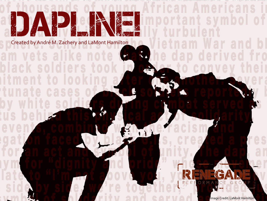# DAPLANE

Created by André M. Zachery and LaMont Hamilton

R R M Ε G

 $\bullet$ 

Image Credit: LaMont Hamilton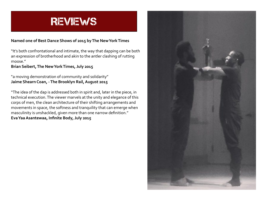

#### **Named one of Best Dance Shows of 2015 by The New York Times**

"It's both confrontational and intimate, the way that dapping can be both an expression of brotherhood and akin to the antler clashing of rutting moose."

**Brian Seibert, The New York Times, July 2015**

"a moving demonstration of community and solidarity" **Jaime Shearn Coan, - The Brooklyn Rail, August 2015**

"The idea of the dap is addressed both in spirit and, later in the piece, in technical execution. The viewer marvels at the unity and elegance of this corps of men, the clean architecture of their shifting arrangements and movements in space, the softness and tranquility that can emerge when masculinity is unshackled, given more than one narrow definition." **Eva Yaa Asantewaa, Infinite Body, July 2015**

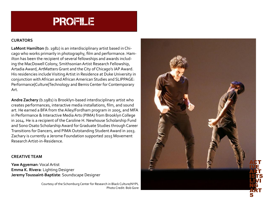

#### **CURATORS**

**LaMont Hamilton** (b. 1982) is an interdisciplinary artist based in Chicago who works primarily in photography, film and performance. Hamilton has been the recipient of several fellowships and awards including the MacDowell Colony, Smithsonian Artist Research Fellowship, Artadia Award, ArtMatters Grant and the City of Chicago's IAP Award. His residencies include Visiting Artist in Residence at Duke University in conjunction with African and African American Studies and SLIPPAGE: Performance|Culture|Technology and Bemis Center for Contemporary Art.

**Andre Zachery** (b.1981) is Brooklyn-based interdisciplinary artist who creates performances, interactive media installations, film, and sound art. He earned a BFA from the Ailey/Fordham program in 2005, and MFA in Performance & Interactive Media Arts (PIMA) from Brooklyn College in 2014. He is a recipient of the Caroline H. Newhouse Scholarship Fund and Sono Osato Scholarship Award for Graduate Studies through Career Transitions for Dancers, and PIMA Outstanding Student Award in 2013. Zachary is currently a Jerome Foundation supported 2015 Movement Research Artist-in-Residence.

#### **CREATIVE TEAM**

**Yaw Agyeman**: Vocal Artist **Emma K. Rivera**: Lighting Designer **Jeremy Toussaint-Baptiste**: Soundscape Designer

> Courtesy of the Schomburg Center for Research in Black Culture/NYPL Photo Credit: Bob Gore

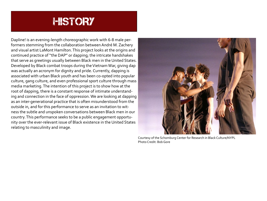## **HISTORY**

Dapline! is an evening-length choreographic work with 6-8 male performers stemming from the collaboration between André M. Zachery and visual artist LaMont Hamilton. This project looks at the origins and continued practice of "the DAP" or dapping; the intricate handshakes that serve as greetings usually between Black men in the United States. Developed by Black combat troops during the Vietnam War, giving dap was actually an acronym for dignity and pride. Currently, dapping is associated with urban Black youth and has been co-opted into popular culture, gang culture, and even professional sport culture through mass media marketing. The intention of this project is to show how at the root of dapping, there is a constant response of intimate understanding and connection in the face of oppression. We are looking at dapping as an inter-generational practice that is often misunderstood from the outside in, and for this performance to serve as an invitation to witness the subtle and unspoken conversations between Black men in our country. This performance seeks to be a public engagement opportunity over the ever-relevant issue of Black existence in the United States relating to masculinity and image.



Courtesy of the Schomburg Center for Research in Black Culture/NYPL Photo Credit: Bob Gore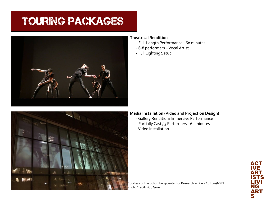# TOURING PACKAGES



#### **Theatrical Rendition**

- Full-Length Performance 60 minutes
- 6-8 performers + Vocal Artist
- Full Lighting Setup



#### **Media Installation (Video and Projection Design)**

- Gallery Rendition: Immersive Performance
- Partially Cast / 3 Performers 60 minutes
- Video Installation

Courtesy of the Schomburg Center for Research in Black Culture/NYPL Photo Credit: Bob Gore

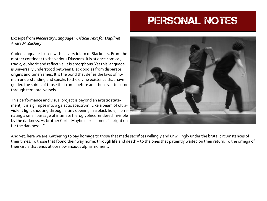## PERSONAL NOTES

#### **Excerpt from** *Necessary Language: Critical Text for Dapline! André M. Zachery*

Coded language is used within every idiom of Blackness. From the mother continent to the various Diaspora, it is at once comical, tragic, euphoric and reflective. It is amorphous. Yet this language is universally understood between Black bodies from disparate origins and timeframes. It is the bond that defies the laws of human understanding and speaks to the divine existence that have guided the spirits of those that came before and those yet to come through temporal vessels.

This performance and visual project is beyond an artistic statement, it is a glimpse into a galactic spectrum. Like a beam of ultraviolent light shooting through a tiny opening in a black hole, illuminating a small passage of intimate hieroglyphics rendered invisible by the darkness. As brother Curtis Mayfield exclaimed, "….right on for the darkness…"



And yet, here we are. Gathering to pay homage to those that made sacrifices willingly and unwillingly under the brutal circumstances of their times. To those that found their way home, through life and death – to the ones that patiently waited on their return. To the omega of their circle that ends at our now anxious alpha moment.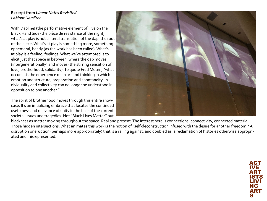#### **Excerpt from** *Linear Notes Revisited LaMont Hamilton*

With Dapline! (the performative element of Five on the Black Hand Side) the pièce de résistance of the night, what's at play is not a literal translation of the dap, the root of the piece. What's at play is something more, something ephemeral, heady (as the work has been called). What's at play is a feeling, feelings. What we've attempted is to elicit just that space in between, where the dap moves (intergenerationally) and moves (the stirring sensation of love, brotherhood, solidarity). To quote Fred Moten, "what occurs...is the emergence of an art and thinking in which emotion and structure, preparation and spontaneity, individuality and collectivity can no longer be understood in opposition to one another."

The spirit of brotherhood moves through this entire showcase. It's an initializing embrace that locates the continued usefulness and relevance of unity in the face of the current societal issues and tragedies. Not "Black Lives Matter" but



blackness as matter moving throughout the space. Real and present. The interest here is connections, connectivity, connected material. Those hidden intersections. What animates this work is the notion of "self-deconstruction infused with the desire for another freedom." A disruption or eruption (perhaps more appropriately) that is a railing against, and doubled as, a reclamation of histories otherwise appropriated and misrepresented.